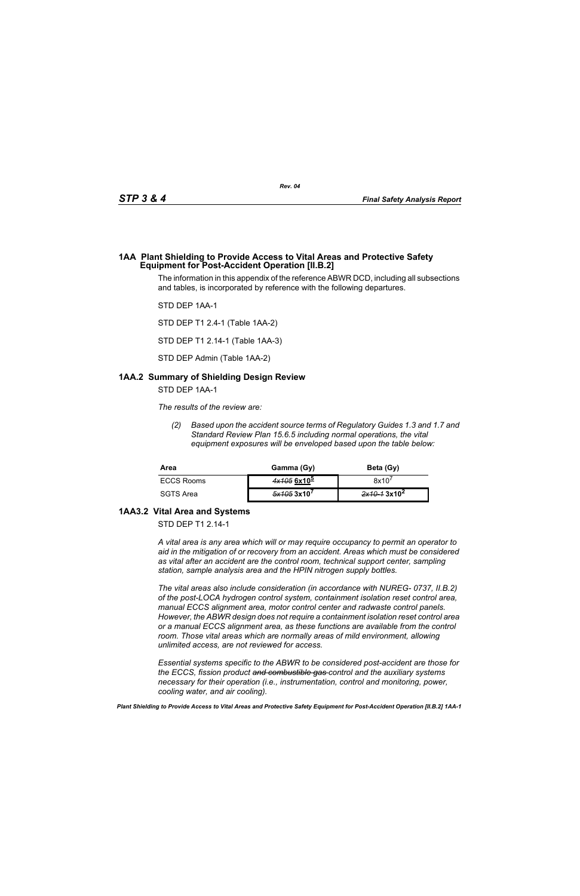#### **1AA Plant Shielding to Provide Access to Vital Areas and Protective Safety Equipment for Post-Accident Operation [II.B.2]**

The information in this appendix of the reference ABWR DCD, including all subsections and tables, is incorporated by reference with the following departures.

STD DEP 1AA-1

STD DEP T1 2.4-1 (Table 1AA-2)

STD DEP T1 2.14-1 (Table 1AA-3)

STD DEP Admin (Table 1AA-2)

## **1AA.2 Summary of Shielding Design Review**

STD DEP 1AA-1

*The results of the review are:*

*(2) Based upon the accident source terms of Regulatory Guides 1.3 and 1.7 and Standard Review Plan 15.6.5 including normal operations, the vital equipment exposures will be enveloped based upon the table below:*

| Area              | Gamma (Gy)                         | Beta (Gy)                |
|-------------------|------------------------------------|--------------------------|
| <b>ECCS Rooms</b> | $4x1056x10^5$                      | 8x10'                    |
| SGTS Area         | $\frac{5x}{405}$ 3x10 <sup>7</sup> | 2x10–1 3x10 <sup>2</sup> |

# **1AA3.2 Vital Area and Systems**

STD DEP T1 2.14-1

*A vital area is any area which will or may require occupancy to permit an operator to aid in the mitigation of or recovery from an accident. Areas which must be considered as vital after an accident are the control room, technical support center, sampling station, sample analysis area and the HPIN nitrogen supply bottles.* 

*The vital areas also include consideration (in accordance with NUREG- 0737, II.B.2) of the post-LOCA hydrogen control system, containment isolation reset control area, manual ECCS alignment area, motor control center and radwaste control panels. However, the ABWR design does not require a containment isolation reset control area or a manual ECCS alignment area, as these functions are available from the control room. Those vital areas which are normally areas of mild environment, allowing unlimited access, are not reviewed for access.* 

*Essential systems specific to the ABWR to be considered post-accident are those for the ECCS, fission product and combustible gas control and the auxiliary systems necessary for their operation (i.e., instrumentation, control and monitoring, power, cooling water, and air cooling).*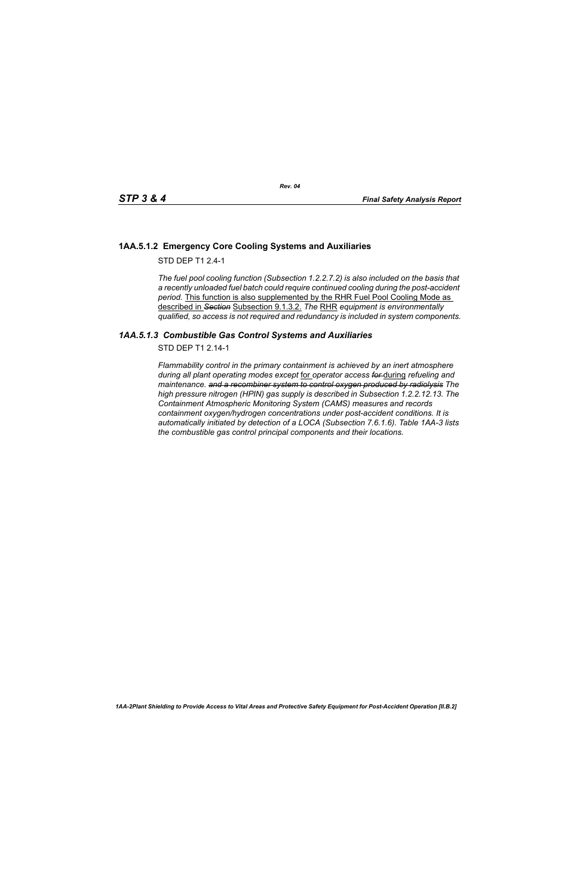## **1AA.5.1.2 Emergency Core Cooling Systems and Auxiliaries**

STD DFP T1 2 4-1

*The fuel pool cooling function (Subsection 1.2.2.7.2) is also included on the basis that a recently unloaded fuel batch could require continued cooling during the post-accident period.* This function is also supplemented by the RHR Fuel Pool Cooling Mode as described in *Section* Subsection 9.1.3.2. *The* RHR *equipment is environmentally qualified, so access is not required and redundancy is included in system components.*

## *1AA.5.1.3 Combustible Gas Control Systems and Auxiliaries*

STD DEP T1 2.14-1

*Flammability control in the primary containment is achieved by an inert atmosphere during all plant operating modes except* for *operator access for* during *refueling and maintenance. and a recombiner system to control oxygen produced by radiolysis The high pressure nitrogen (HPIN) gas supply is described in Subsection 1.2.2.12.13. The Containment Atmospheric Monitoring System (CAMS) measures and records containment oxygen/hydrogen concentrations under post-accident conditions. It is automatically initiated by detection of a LOCA (Subsection 7.6.1.6). Table 1AA-3 lists the combustible gas control principal components and their locations.*